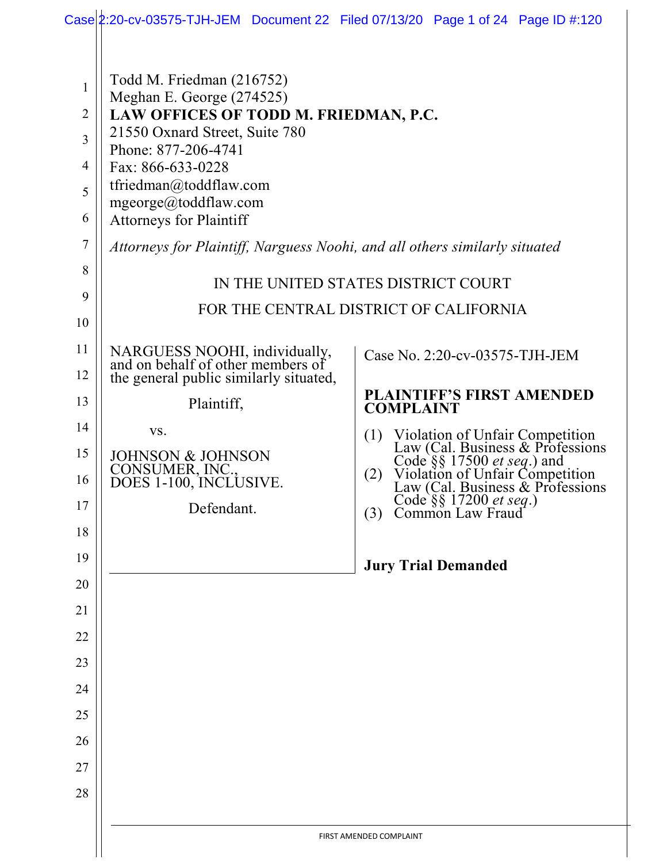|                                                                |                                                                                                                                                                                                                                                                                                                                                 | Case $ 2:20$ -cv-03575-TJH-JEM Document 22 Filed 07/13/20 Page 1 of 24 Page ID #:120                                                                                                                                                          |  |  |
|----------------------------------------------------------------|-------------------------------------------------------------------------------------------------------------------------------------------------------------------------------------------------------------------------------------------------------------------------------------------------------------------------------------------------|-----------------------------------------------------------------------------------------------------------------------------------------------------------------------------------------------------------------------------------------------|--|--|
| 1<br>$\overline{2}$<br>3<br>$\overline{4}$<br>5<br>6<br>7<br>8 | Todd M. Friedman (216752)<br>Meghan E. George (274525)<br>LAW OFFICES OF TODD M. FRIEDMAN, P.C.<br>21550 Oxnard Street, Suite 780<br>Phone: 877-206-4741<br>Fax: 866-633-0228<br>tfriedman@toddflaw.com<br>mgeorge@toddflaw.com<br><b>Attorneys for Plaintiff</b><br>Attorneys for Plaintiff, Narguess Noohi, and all others similarly situated |                                                                                                                                                                                                                                               |  |  |
| 9                                                              | IN THE UNITED STATES DISTRICT COURT                                                                                                                                                                                                                                                                                                             |                                                                                                                                                                                                                                               |  |  |
| 10                                                             |                                                                                                                                                                                                                                                                                                                                                 | FOR THE CENTRAL DISTRICT OF CALIFORNIA                                                                                                                                                                                                        |  |  |
| 11                                                             |                                                                                                                                                                                                                                                                                                                                                 |                                                                                                                                                                                                                                               |  |  |
| 12                                                             | NARGUESS NOOHI, individually, and on behalf of other members of<br>the general public similarly situated,                                                                                                                                                                                                                                       | Case No. 2:20-cv-03575-TJH-JEM                                                                                                                                                                                                                |  |  |
| 13                                                             | Plaintiff,                                                                                                                                                                                                                                                                                                                                      | <b>PLAINTIFF'S FIRST AMENDED</b><br><b>COMPLAINT</b>                                                                                                                                                                                          |  |  |
| 14                                                             | VS.                                                                                                                                                                                                                                                                                                                                             | (1)                                                                                                                                                                                                                                           |  |  |
| 15                                                             | <b>JOHNSON &amp; JOHNSON</b>                                                                                                                                                                                                                                                                                                                    |                                                                                                                                                                                                                                               |  |  |
| 16                                                             | CONSUMER, INC., DOES 1-100, INCLUSIVE.                                                                                                                                                                                                                                                                                                          | (2)                                                                                                                                                                                                                                           |  |  |
| 17                                                             | Defendant.                                                                                                                                                                                                                                                                                                                                      | Violation of Unfair Competition<br>Law (Cal. Business & Professions<br>Code §§ 17500 <i>et seq.</i> ) and<br>Violation of Unfair Competition<br>Law (Cal. Business & Professions<br>Code §§ 17200 <i>et seq.</i> )<br>Common Law Fraud<br>(3) |  |  |
| 18                                                             |                                                                                                                                                                                                                                                                                                                                                 |                                                                                                                                                                                                                                               |  |  |
| 19                                                             |                                                                                                                                                                                                                                                                                                                                                 | <b>Jury Trial Demanded</b>                                                                                                                                                                                                                    |  |  |
| 20                                                             |                                                                                                                                                                                                                                                                                                                                                 |                                                                                                                                                                                                                                               |  |  |
| 21                                                             |                                                                                                                                                                                                                                                                                                                                                 |                                                                                                                                                                                                                                               |  |  |
| 22<br>23                                                       |                                                                                                                                                                                                                                                                                                                                                 |                                                                                                                                                                                                                                               |  |  |
| 24                                                             |                                                                                                                                                                                                                                                                                                                                                 |                                                                                                                                                                                                                                               |  |  |
| 25                                                             |                                                                                                                                                                                                                                                                                                                                                 |                                                                                                                                                                                                                                               |  |  |
| 26                                                             |                                                                                                                                                                                                                                                                                                                                                 |                                                                                                                                                                                                                                               |  |  |
| 27                                                             |                                                                                                                                                                                                                                                                                                                                                 |                                                                                                                                                                                                                                               |  |  |
| 28                                                             |                                                                                                                                                                                                                                                                                                                                                 |                                                                                                                                                                                                                                               |  |  |
|                                                                |                                                                                                                                                                                                                                                                                                                                                 |                                                                                                                                                                                                                                               |  |  |
|                                                                |                                                                                                                                                                                                                                                                                                                                                 | FIRST AMENDED COMPLAINT                                                                                                                                                                                                                       |  |  |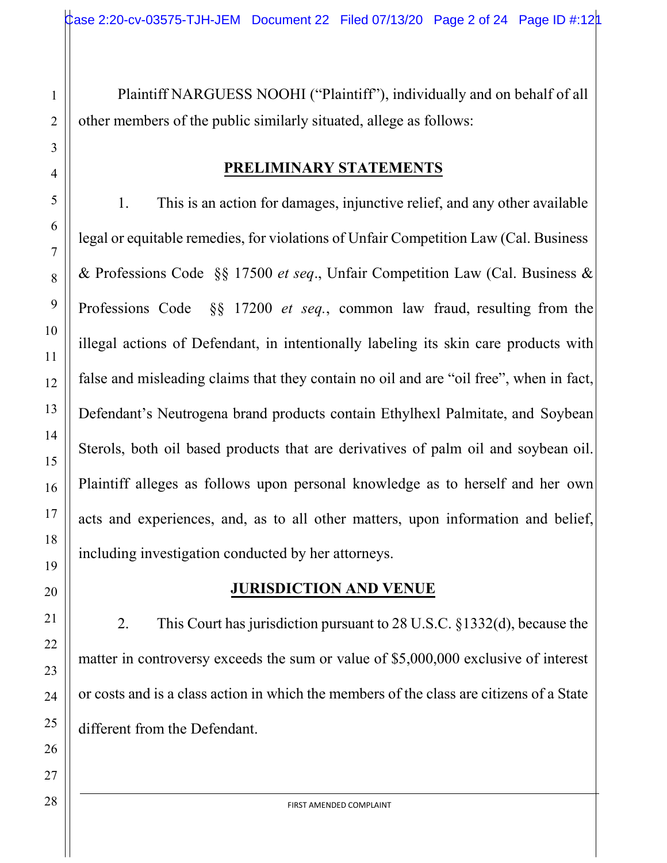Plaintiff NARGUESS NOOHI ("Plaintiff"), individually and on behalf of all other members of the public similarly situated, allege as follows:

## **PRELIMINARY STATEMENTS**

1. This is an action for damages, injunctive relief, and any other available legal or equitable remedies, for violations of Unfair Competition Law (Cal. Business & Professions Code §§ 17500 *et seq*., Unfair Competition Law (Cal. Business & Professions Code §§ 17200 *et seq.*, common law fraud, resulting from the illegal actions of Defendant, in intentionally labeling its skin care products with false and misleading claims that they contain no oil and are "oil free", when in fact, Defendant's Neutrogena brand products contain Ethylhexl Palmitate, and Soybean Sterols, both oil based products that are derivatives of palm oil and soybean oil. Plaintiff alleges as follows upon personal knowledge as to herself and her own acts and experiences, and, as to all other matters, upon information and belief, including investigation conducted by her attorneys.

# **JURISDICTION AND VENUE**

2. This Court has jurisdiction pursuant to 28 U.S.C. §1332(d), because the matter in controversy exceeds the sum or value of \$5,000,000 exclusive of interest or costs and is a class action in which the members of the class are citizens of a State different from the Defendant.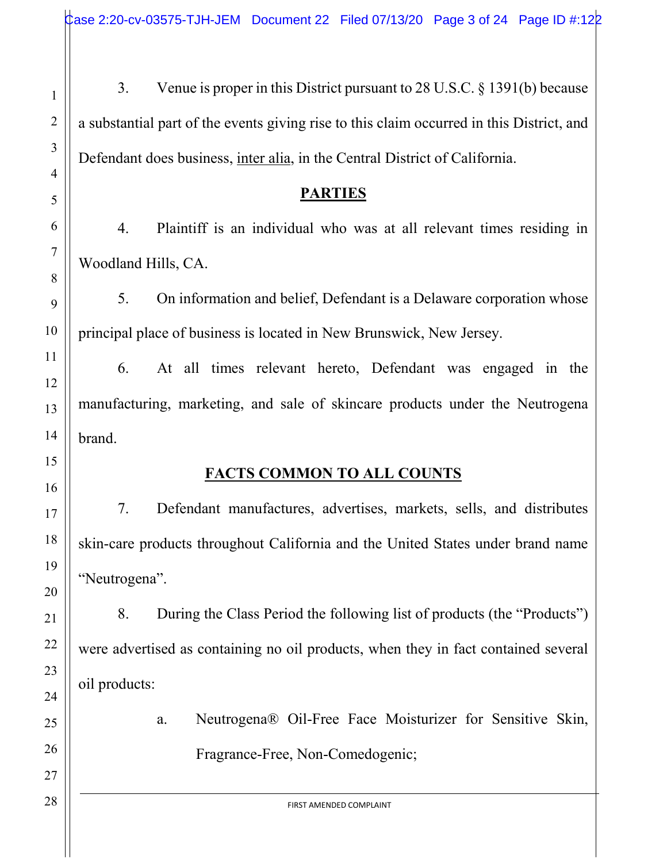3. Venue is proper in this District pursuant to 28 U.S.C. § 1391(b) because a substantial part of the events giving rise to this claim occurred in this District, and Defendant does business, inter alia, in the Central District of California.

### **PARTIES**

4. Plaintiff is an individual who was at all relevant times residing in Woodland Hills, CA.

5. On information and belief, Defendant is a Delaware corporation whose principal place of business is located in New Brunswick, New Jersey.

6. At all times relevant hereto, Defendant was engaged in the manufacturing, marketing, and sale of skincare products under the Neutrogena brand.

# **FACTS COMMON TO ALL COUNTS**

7. Defendant manufactures, advertises, markets, sells, and distributes skin-care products throughout California and the United States under brand name "Neutrogena".

8. During the Class Period the following list of products (the "Products") were advertised as containing no oil products, when they in fact contained several oil products:

> a. Neutrogena® Oil-Free Face Moisturizer for Sensitive Skin, Fragrance-Free, Non-Comedogenic;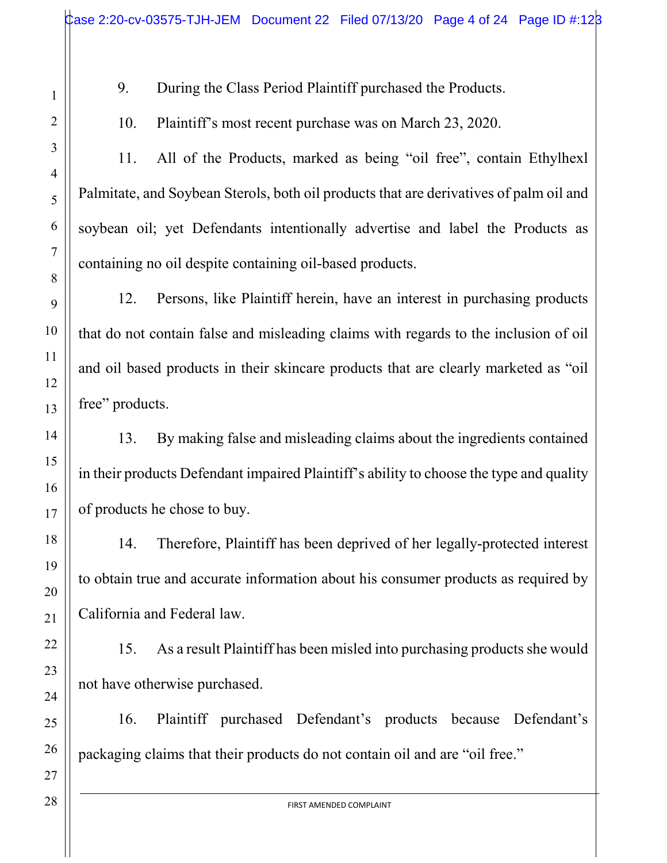9. During the Class Period Plaintiff purchased the Products.

10. Plaintiff's most recent purchase was on March 23, 2020.

11. All of the Products, marked as being "oil free", contain Ethylhexl Palmitate, and Soybean Sterols, both oil products that are derivatives of palm oil and soybean oil; yet Defendants intentionally advertise and label the Products as containing no oil despite containing oil-based products.

12. Persons, like Plaintiff herein, have an interest in purchasing products that do not contain false and misleading claims with regards to the inclusion of oil and oil based products in their skincare products that are clearly marketed as "oil free" products.

13. By making false and misleading claims about the ingredients contained in their products Defendant impaired Plaintiff's ability to choose the type and quality of products he chose to buy.

14. Therefore, Plaintiff has been deprived of her legally-protected interest to obtain true and accurate information about his consumer products as required by California and Federal law.

15. As a result Plaintiff has been misled into purchasing products she would not have otherwise purchased.

16. Plaintiff purchased Defendant's products because Defendant's packaging claims that their products do not contain oil and are "oil free."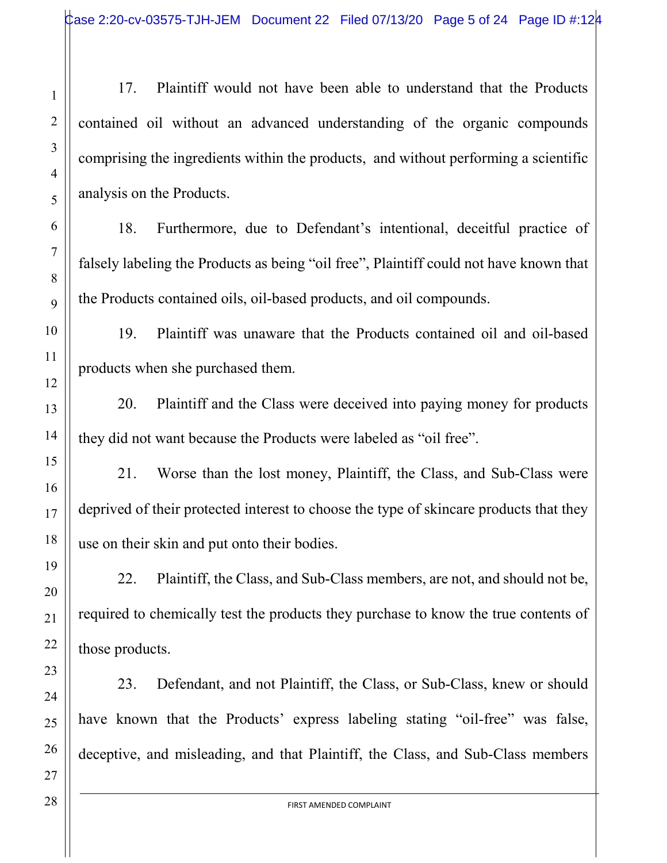17. Plaintiff would not have been able to understand that the Products contained oil without an advanced understanding of the organic compounds comprising the ingredients within the products, and without performing a scientific analysis on the Products.

18. Furthermore, due to Defendant's intentional, deceitful practice of falsely labeling the Products as being "oil free", Plaintiff could not have known that the Products contained oils, oil-based products, and oil compounds.

19. Plaintiff was unaware that the Products contained oil and oil-based products when she purchased them.

20. Plaintiff and the Class were deceived into paying money for products they did not want because the Products were labeled as "oil free".

21. Worse than the lost money, Plaintiff, the Class, and Sub-Class were deprived of their protected interest to choose the type of skincare products that they use on their skin and put onto their bodies.

22. Plaintiff, the Class, and Sub-Class members, are not, and should not be, required to chemically test the products they purchase to know the true contents of those products.

23. Defendant, and not Plaintiff, the Class, or Sub-Class, knew or should have known that the Products' express labeling stating "oil-free" was false, deceptive, and misleading, and that Plaintiff, the Class, and Sub-Class members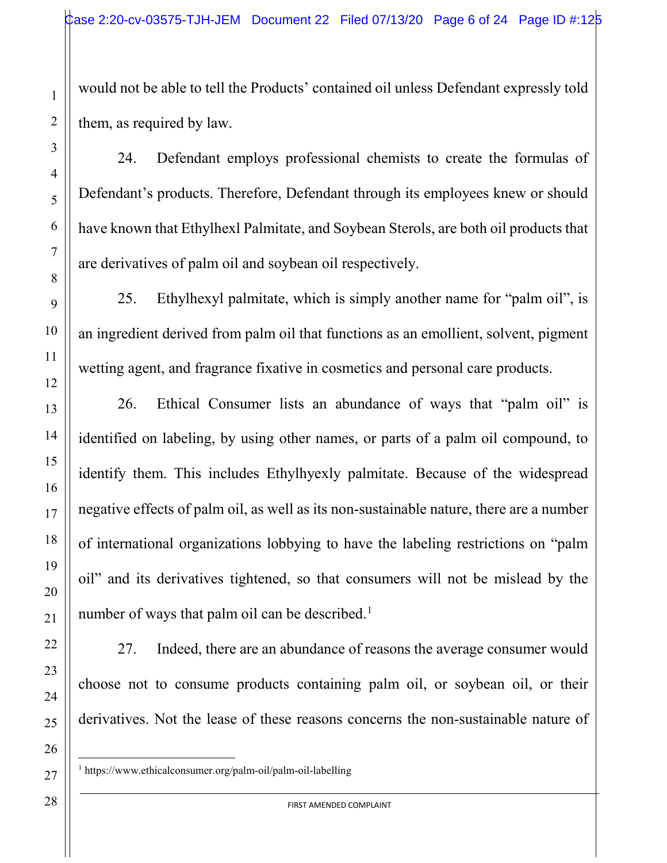would not be able to tell the Products' contained oil unless Defendant expressly told them, as required by law.

24. Defendant employs professional chemists to create the formulas of Defendant's products. Therefore, Defendant through its employees knew or should have known that Ethylhexl Palmitate, and Soybean Sterols, are both oil products that are derivatives of palm oil and soybean oil respectively.

25. Ethylhexyl palmitate, which is simply another name for "palm oil", is an ingredient derived from palm oil that functions as an emollient, solvent, pigment wetting agent, and fragrance fixative in cosmetics and personal care products.

26. Ethical Consumer lists an abundance of ways that "palm oil" is identified on labeling, by using other names, or parts of a palm oil compound, to identify them. This includes Ethylhyexly palmitate. Because of the widespread negative effects of palm oil, as well as its non-sustainable nature, there are a number of international organizations lobbying to have the labeling restrictions on "palm oil" and its derivatives tightened, so that consumers will not be mislead by the number of ways that palm oil can be described.<sup>[1](#page-5-0)</sup>

27. Indeed, there are an abundance of reasons the average consumer would choose not to consume products containing palm oil, or soybean oil, or their derivatives. Not the lease of these reasons concerns the non-sustainable nature of

<span id="page-5-0"></span> $\overline{a}$ <sup>1</sup> https://www.ethicalconsumer.org/palm-oil/palm-oil-labelling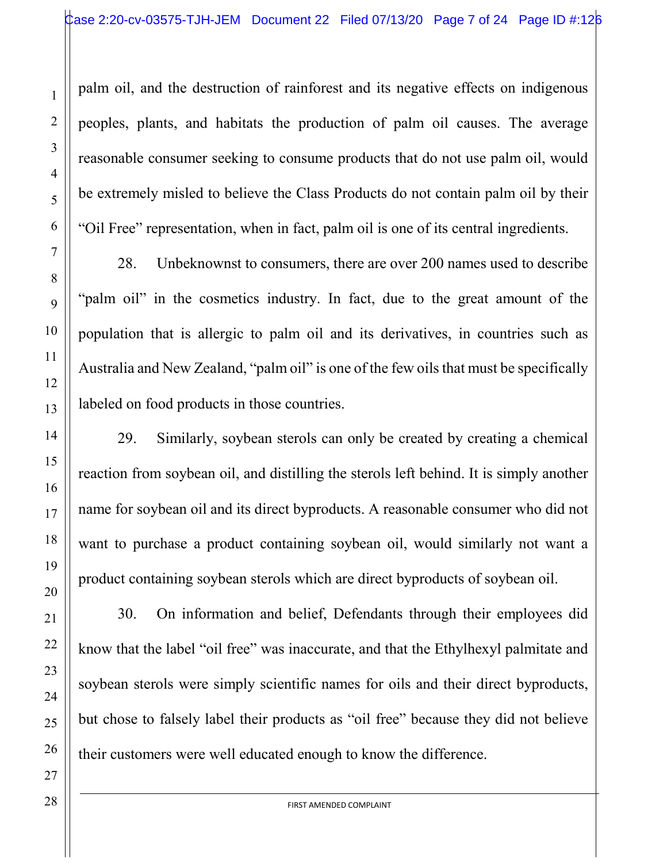palm oil, and the destruction of rainforest and its negative effects on indigenous peoples, plants, and habitats the production of palm oil causes. The average reasonable consumer seeking to consume products that do not use palm oil, would be extremely misled to believe the Class Products do not contain palm oil by their "Oil Free" representation, when in fact, palm oil is one of its central ingredients.

28. Unbeknownst to consumers, there are over 200 names used to describe "palm oil" in the cosmetics industry. In fact, due to the great amount of the population that is allergic to palm oil and its derivatives, in countries such as Australia and New Zealand, "palm oil" is one of the few oils that must be specifically labeled on food products in those countries.

29. Similarly, soybean sterols can only be created by creating a chemical reaction from soybean oil, and distilling the sterols left behind. It is simply another name for soybean oil and its direct byproducts. A reasonable consumer who did not want to purchase a product containing soybean oil, would similarly not want a product containing soybean sterols which are direct byproducts of soybean oil.

30. On information and belief, Defendants through their employees did know that the label "oil free" was inaccurate, and that the Ethylhexyl palmitate and soybean sterols were simply scientific names for oils and their direct byproducts, but chose to falsely label their products as "oil free" because they did not believe their customers were well educated enough to know the difference.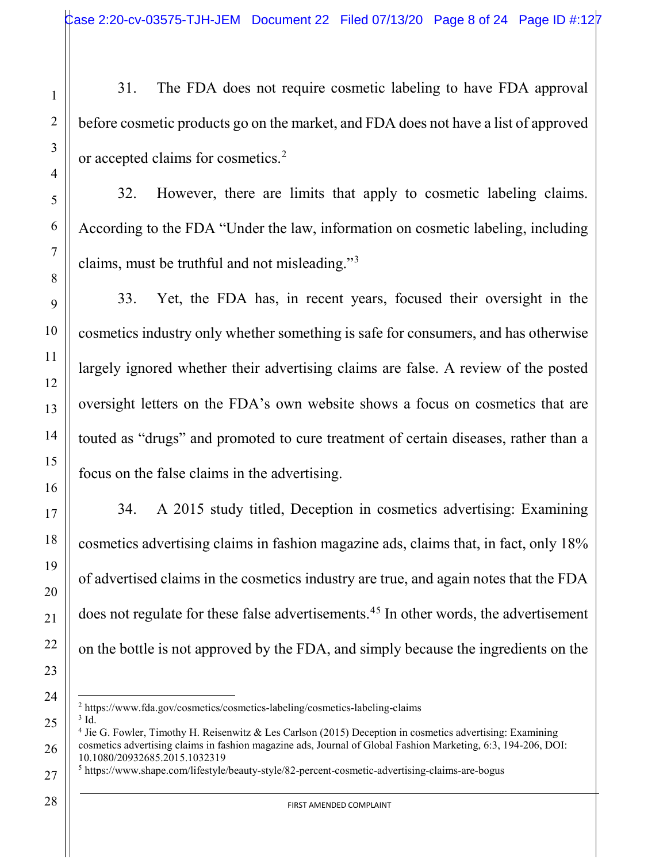31. The FDA does not require cosmetic labeling to have FDA approval before cosmetic products go on the market, and FDA does not have a list of approved or accepted claims for cosmetics.<sup>[2](#page-7-0)</sup>

32. However, there are limits that apply to cosmetic labeling claims. According to the FDA "Under the law, information on cosmetic labeling, including claims, must be truthful and not misleading."[3](#page-7-1)

33. Yet, the FDA has, in recent years, focused their oversight in the cosmetics industry only whether something is safe for consumers, and has otherwise largely ignored whether their advertising claims are false. A review of the posted oversight letters on the FDA's own website shows a focus on cosmetics that are touted as "drugs" and promoted to cure treatment of certain diseases, rather than a focus on the false claims in the advertising.

34. A 2015 study titled, Deception in cosmetics advertising: Examining cosmetics advertising claims in fashion magazine ads, claims that, in fact, only 18% of advertised claims in the cosmetics industry are true, and again notes that the FDA does not regulate for these false advertisements.[4](#page-7-2)[5](#page-7-3) In other words, the advertisement on the bottle is not approved by the FDA, and simply because the ingredients on the

1

2

3

4

5

6

7

 $\overline{\phantom{a}}$ <sup>2</sup> https://www.fda.gov/cosmetics/cosmetics-labeling/cosmetics-labeling-claims <sup>3</sup> Id.

<span id="page-7-2"></span><span id="page-7-1"></span><span id="page-7-0"></span><sup>4</sup> Jie G. Fowler, Timothy H. Reisenwitz & Les Carlson (2015) Deception in cosmetics advertising: Examining cosmetics advertising claims in fashion magazine ads, Journal of Global Fashion Marketing, 6:3, 194-206, DOI: 10.1080/20932685.2015.1032319

<span id="page-7-3"></span><sup>5</sup> https://www.shape.com/lifestyle/beauty-style/82-percent-cosmetic-advertising-claims-are-bogus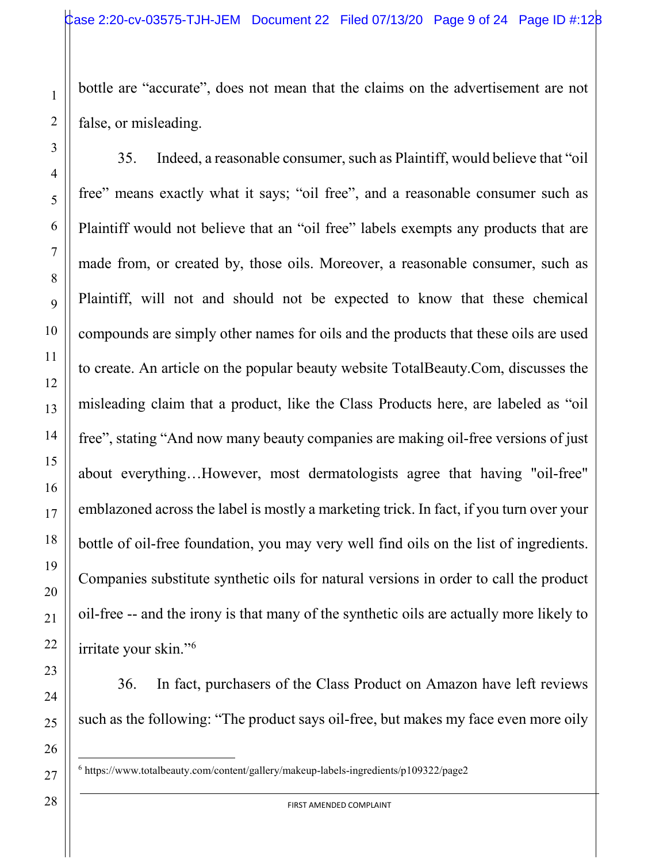bottle are "accurate", does not mean that the claims on the advertisement are not false, or misleading.

35. Indeed, a reasonable consumer, such as Plaintiff, would believe that "oil free" means exactly what it says; "oil free", and a reasonable consumer such as Plaintiff would not believe that an "oil free" labels exempts any products that are made from, or created by, those oils. Moreover, a reasonable consumer, such as Plaintiff, will not and should not be expected to know that these chemical compounds are simply other names for oils and the products that these oils are used to create. An article on the popular beauty website TotalBeauty.Com, discusses the misleading claim that a product, like the Class Products here, are labeled as "oil free", stating "And now many beauty companies are making oil-free versions of just about everything…However, most dermatologists agree that having "oil-free" emblazoned across the label is mostly a marketing trick. In fact, if you turn over your bottle of oil-free foundation, you may very well find oils on the list of ingredients. Companies substitute synthetic oils for natural versions in order to call the product oil-free -- and the irony is that many of the synthetic oils are actually more likely to irritate your skin."[6](#page-8-0)

36. In fact, purchasers of the Class Product on Amazon have left reviews such as the following: "The product says oil-free, but makes my face even more oily

<span id="page-8-0"></span> $\overline{a}$  $6$  https://www.totalbeauty.com/content/gallery/makeup-labels-ingredients/p109322/page2

1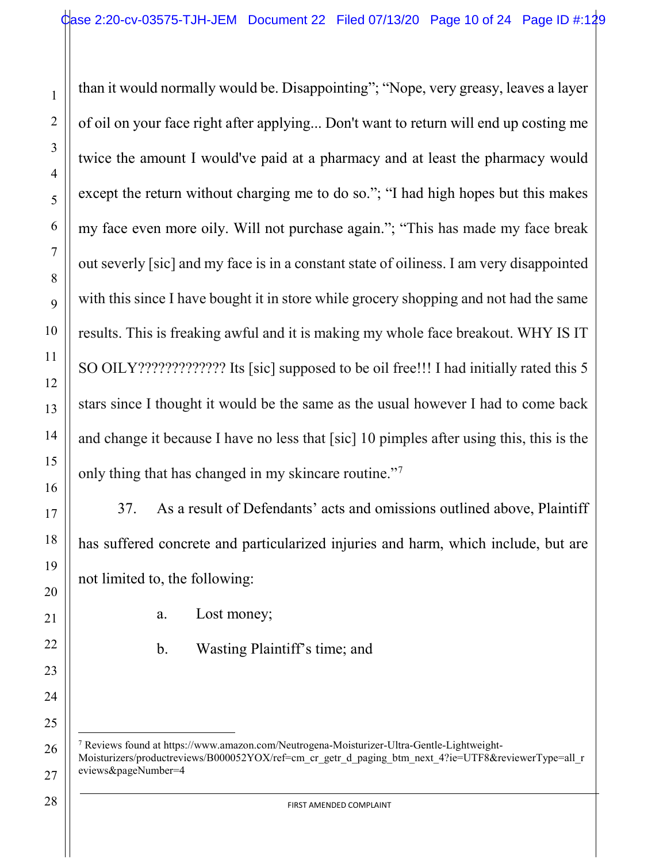than it would normally would be. Disappointing"; "Nope, very greasy, leaves a layer of oil on your face right after applying... Don't want to return will end up costing me twice the amount I would've paid at a pharmacy and at least the pharmacy would except the return without charging me to do so."; "I had high hopes but this makes my face even more oily. Will not purchase again."; "This has made my face break out severly [sic] and my face is in a constant state of oiliness. I am very disappointed with this since I have bought it in store while grocery shopping and not had the same results. This is freaking awful and it is making my whole face breakout. WHY IS IT SO OILY????????????? Its [sic] supposed to be oil free!!! I had initially rated this 5 stars since I thought it would be the same as the usual however I had to come back and change it because I have no less that [sic] 10 pimples after using this, this is the only thing that has changed in my skincare routine."[7](#page-9-0)

37. As a result of Defendants' acts and omissions outlined above, Plaintiff has suffered concrete and particularized injuries and harm, which include, but are not limited to, the following:

- a. Lost money;
- b. Wasting Plaintiff's time; and

 $\overline{\phantom{a}}$ 

<span id="page-9-0"></span> $^7$  Reviews found at https://www.amazon.com/Neutrogena-Moisturizer-Ultra-Gentle-Lightweight-Moisturizers/productreviews/B000052YOX/ref=cm\_cr\_getr\_d\_paging\_btm\_next\_4?ie=UTF8&reviewerType=all\_r eviews&pageNumber=4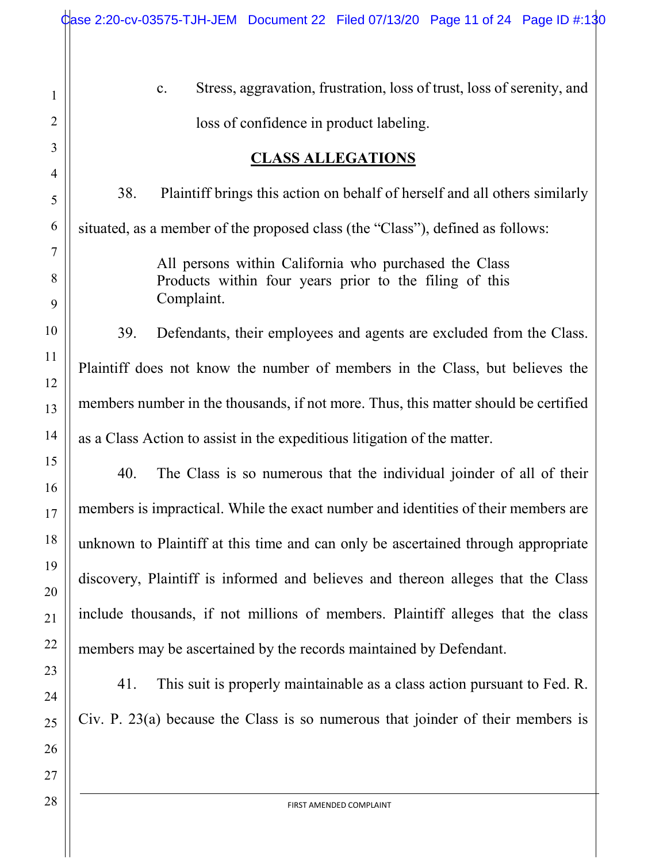| Case 2:20-cv-03575-TJH-JEM Document 22 Filed 07/13/20 Page 11 of 24 Page ID #:130                                             |
|-------------------------------------------------------------------------------------------------------------------------------|
| Stress, aggravation, frustration, loss of trust, loss of serenity, and<br>c.                                                  |
| loss of confidence in product labeling.                                                                                       |
| <b>CLASS ALLEGATIONS</b>                                                                                                      |
| Plaintiff brings this action on behalf of herself and all others similarly<br>38.                                             |
| situated, as a member of the proposed class (the "Class"), defined as follows:                                                |
| All persons within California who purchased the Class<br>Products within four years prior to the filing of this<br>Complaint. |
| 39.<br>Defendants, their employees and agents are excluded from the Class.                                                    |
| Plaintiff does not know the number of members in the Class, but believes the                                                  |
| members number in the thousands, if not more. Thus, this matter should be certified                                           |
| as a Class Action to assist in the expeditious litigation of the matter.                                                      |
| 40.<br>The Class is so numerous that the individual joinder of all of their                                                   |
| members is impractical. While the exact number and identities of their members are                                            |
| unknown to Plaintiff at this time and can only be ascertained through appropriate                                             |
| discovery, Plaintiff is informed and believes and thereon alleges that the Class                                              |
| include thousands, if not millions of members. Plaintiff alleges that the class                                               |
| members may be ascertained by the records maintained by Defendant.                                                            |
| This suit is properly maintainable as a class action pursuant to Fed. R.<br>41.                                               |
| Civ. P. $23(a)$ because the Class is so numerous that joinder of their members is                                             |
|                                                                                                                               |
| FIRST AMENDED COMPLAINT                                                                                                       |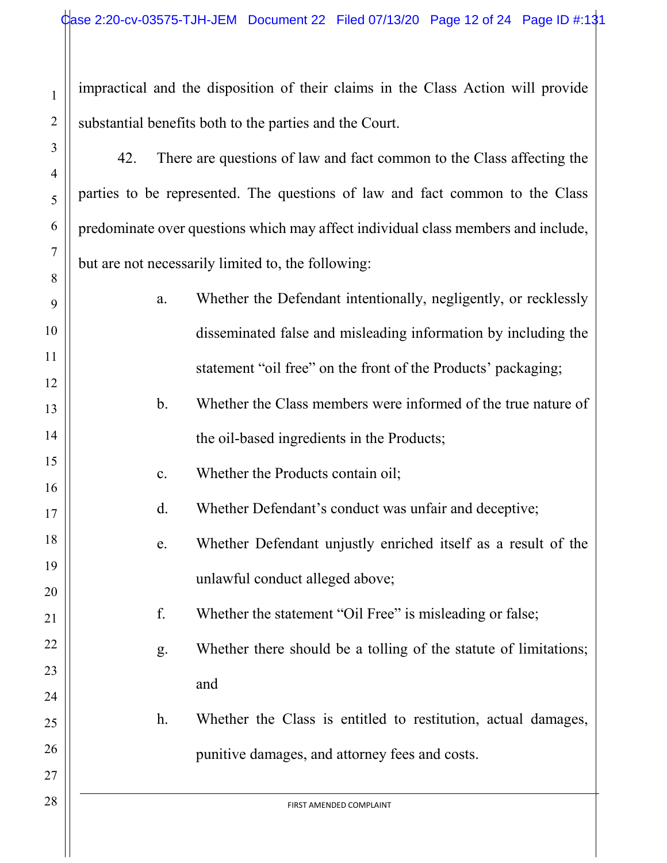impractical and the disposition of their claims in the Class Action will provide substantial benefits both to the parties and the Court.

1

2

3

4

5

6

7

8

42. There are questions of law and fact common to the Class affecting the parties to be represented. The questions of law and fact common to the Class predominate over questions which may affect individual class members and include, but are not necessarily limited to, the following:

| 9  | a.             | Whether the Defendant intentionally, negligently, or recklessly  |
|----|----------------|------------------------------------------------------------------|
| 10 |                | disseminated false and misleading information by including the   |
| 11 |                | statement "oil free" on the front of the Products' packaging;    |
| 12 |                |                                                                  |
| 13 | $\mathbf{b}$ . | Whether the Class members were informed of the true nature of    |
| 14 |                | the oil-based ingredients in the Products;                       |
| 15 | c.             | Whether the Products contain oil;                                |
| 16 |                |                                                                  |
| 17 | d.             | Whether Defendant's conduct was unfair and deceptive;            |
| 18 | e.             | Whether Defendant unjustly enriched itself as a result of the    |
| 19 |                | unlawful conduct alleged above;                                  |
| 20 |                |                                                                  |
| 21 | f.             | Whether the statement "Oil Free" is misleading or false;         |
| 22 | g.             | Whether there should be a tolling of the statute of limitations; |
| 23 |                |                                                                  |
| 24 |                | and                                                              |
| 25 | h.             | Whether the Class is entitled to restitution, actual damages,    |
| 26 |                | punitive damages, and attorney fees and costs.                   |
| 27 |                |                                                                  |
| 28 |                | FIRST AMENDED COMPLAINT                                          |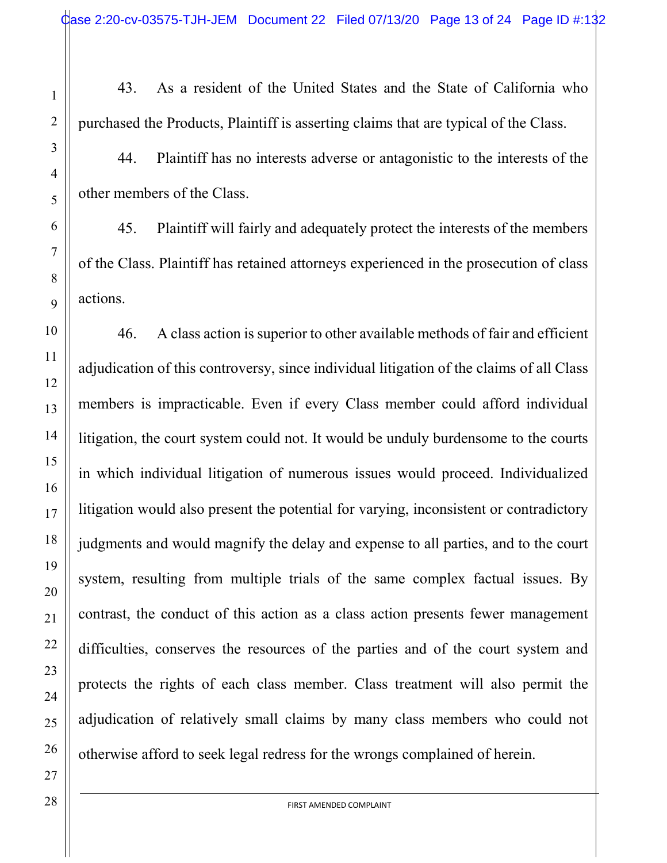43. As a resident of the United States and the State of California who purchased the Products, Plaintiff is asserting claims that are typical of the Class.

44. Plaintiff has no interests adverse or antagonistic to the interests of the other members of the Class.

45. Plaintiff will fairly and adequately protect the interests of the members of the Class. Plaintiff has retained attorneys experienced in the prosecution of class actions.

46. A class action is superior to other available methods of fair and efficient adjudication of this controversy, since individual litigation of the claims of all Class members is impracticable. Even if every Class member could afford individual litigation, the court system could not. It would be unduly burdensome to the courts in which individual litigation of numerous issues would proceed. Individualized litigation would also present the potential for varying, inconsistent or contradictory judgments and would magnify the delay and expense to all parties, and to the court system, resulting from multiple trials of the same complex factual issues. By contrast, the conduct of this action as a class action presents fewer management difficulties, conserves the resources of the parties and of the court system and protects the rights of each class member. Class treatment will also permit the adjudication of relatively small claims by many class members who could not otherwise afford to seek legal redress for the wrongs complained of herein.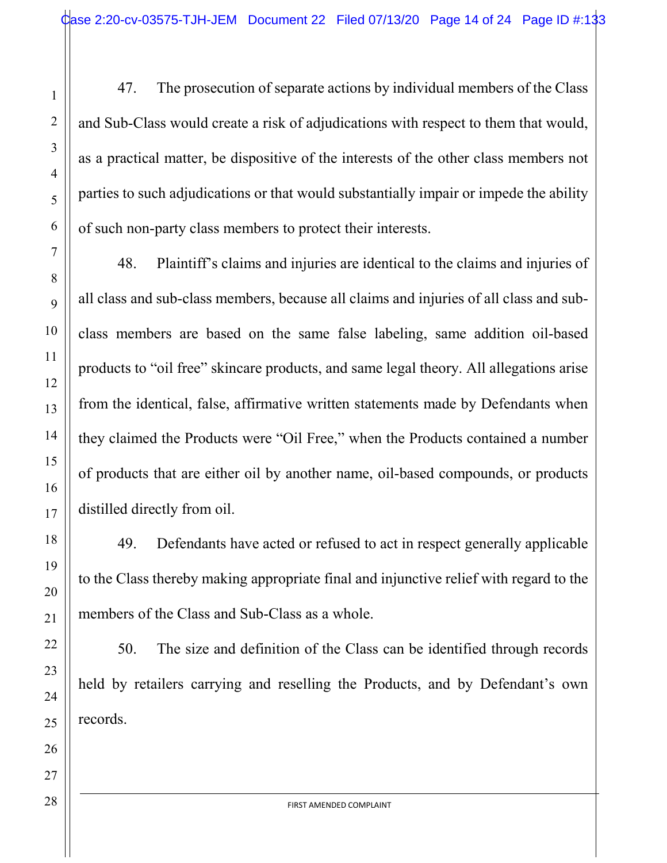47. The prosecution of separate actions by individual members of the Class and Sub-Class would create a risk of adjudications with respect to them that would, as a practical matter, be dispositive of the interests of the other class members not parties to such adjudications or that would substantially impair or impede the ability of such non-party class members to protect their interests.

48. Plaintiff's claims and injuries are identical to the claims and injuries of all class and sub-class members, because all claims and injuries of all class and subclass members are based on the same false labeling, same addition oil-based products to "oil free" skincare products, and same legal theory. All allegations arise from the identical, false, affirmative written statements made by Defendants when they claimed the Products were "Oil Free," when the Products contained a number of products that are either oil by another name, oil-based compounds, or products distilled directly from oil.

49. Defendants have acted or refused to act in respect generally applicable to the Class thereby making appropriate final and injunctive relief with regard to the members of the Class and Sub-Class as a whole.

50. The size and definition of the Class can be identified through records held by retailers carrying and reselling the Products, and by Defendant's own records.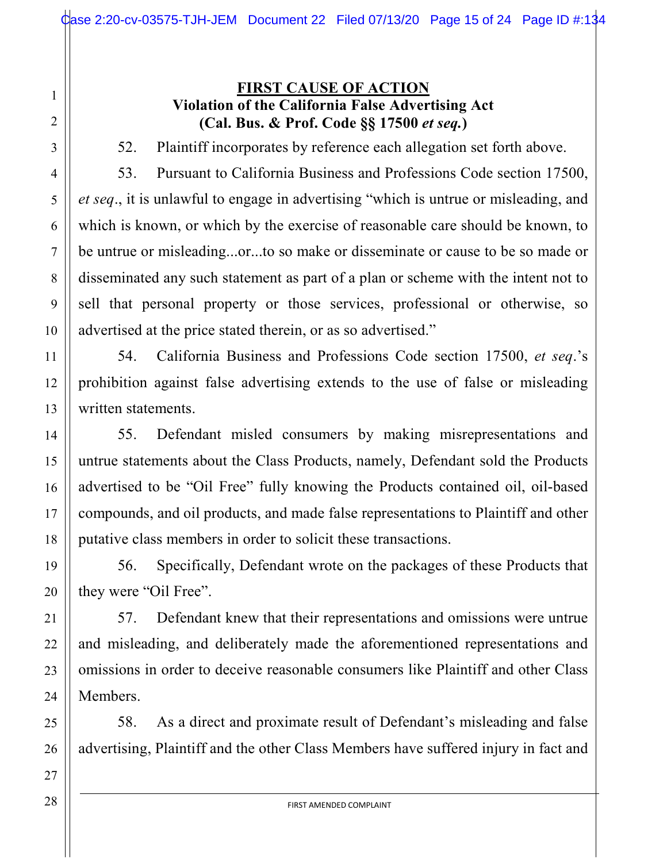#### **FIRST CAUSE OF ACTION Violation of the California False Advertising Act (Cal. Bus. & Prof. Code §§ 17500** *et seq.***)**

52. Plaintiff incorporates by reference each allegation set forth above.

53. Pursuant to California Business and Professions Code section 17500, *et seq*., it is unlawful to engage in advertising "which is untrue or misleading, and which is known, or which by the exercise of reasonable care should be known, to be untrue or misleading...or...to so make or disseminate or cause to be so made or disseminated any such statement as part of a plan or scheme with the intent not to sell that personal property or those services, professional or otherwise, so advertised at the price stated therein, or as so advertised."

54. California Business and Professions Code section 17500, *et seq*.'s prohibition against false advertising extends to the use of false or misleading written statements.

55. Defendant misled consumers by making misrepresentations and untrue statements about the Class Products, namely, Defendant sold the Products advertised to be "Oil Free" fully knowing the Products contained oil, oil-based compounds, and oil products, and made false representations to Plaintiff and other putative class members in order to solicit these transactions.

56. Specifically, Defendant wrote on the packages of these Products that they were "Oil Free".

57. Defendant knew that their representations and omissions were untrue and misleading, and deliberately made the aforementioned representations and omissions in order to deceive reasonable consumers like Plaintiff and other Class Members.

58. As a direct and proximate result of Defendant's misleading and false advertising, Plaintiff and the other Class Members have suffered injury in fact and

1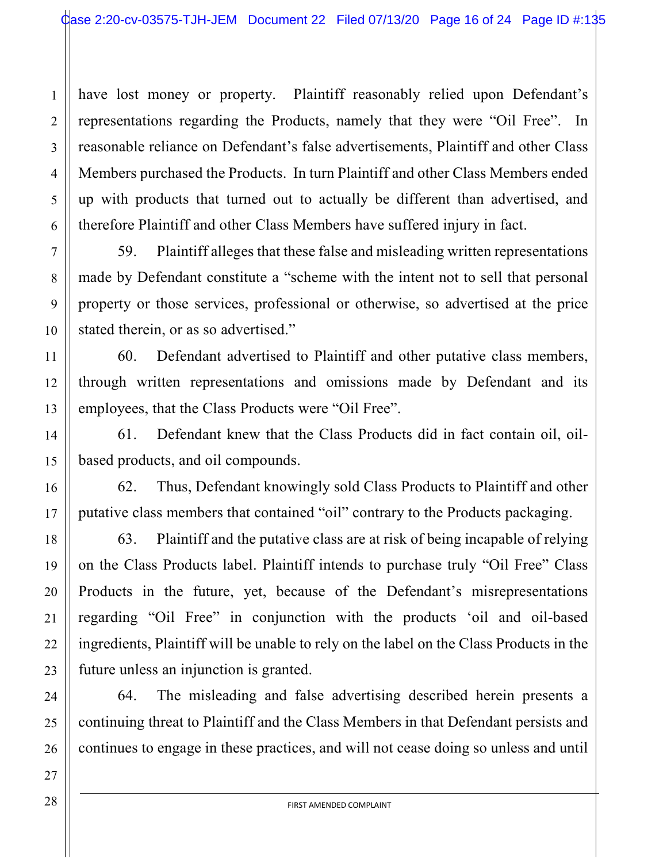have lost money or property. Plaintiff reasonably relied upon Defendant's representations regarding the Products, namely that they were "Oil Free". In reasonable reliance on Defendant's false advertisements, Plaintiff and other Class Members purchased the Products. In turn Plaintiff and other Class Members ended up with products that turned out to actually be different than advertised, and therefore Plaintiff and other Class Members have suffered injury in fact.

59. Plaintiff alleges that these false and misleading written representations made by Defendant constitute a "scheme with the intent not to sell that personal property or those services, professional or otherwise, so advertised at the price stated therein, or as so advertised."

60. Defendant advertised to Plaintiff and other putative class members, through written representations and omissions made by Defendant and its employees, that the Class Products were "Oil Free".

61. Defendant knew that the Class Products did in fact contain oil, oilbased products, and oil compounds.

62. Thus, Defendant knowingly sold Class Products to Plaintiff and other putative class members that contained "oil" contrary to the Products packaging.

63. Plaintiff and the putative class are at risk of being incapable of relying on the Class Products label. Plaintiff intends to purchase truly "Oil Free" Class Products in the future, yet, because of the Defendant's misrepresentations regarding "Oil Free" in conjunction with the products 'oil and oil-based ingredients, Plaintiff will be unable to rely on the label on the Class Products in the future unless an injunction is granted.

64. The misleading and false advertising described herein presents a continuing threat to Plaintiff and the Class Members in that Defendant persists and continues to engage in these practices, and will not cease doing so unless and until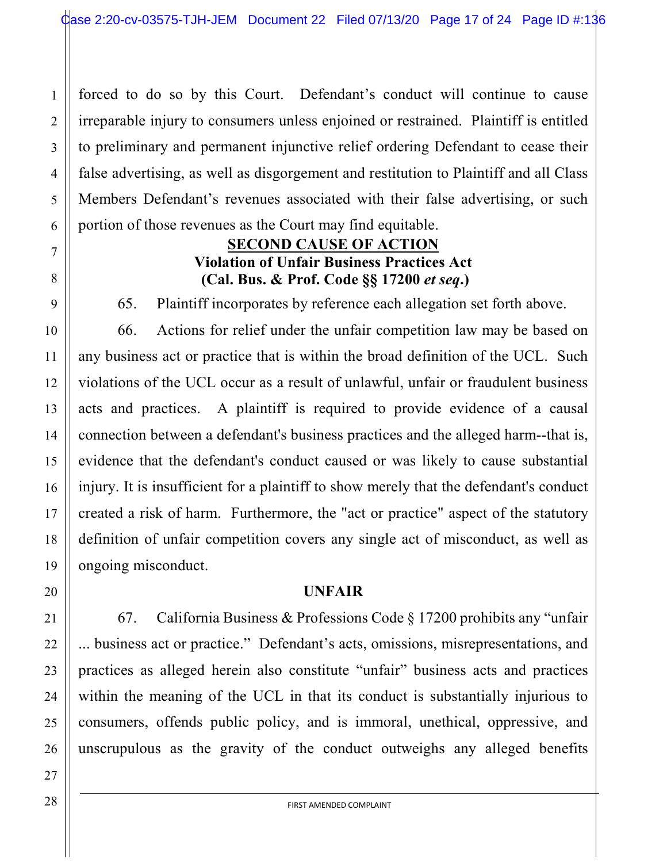forced to do so by this Court. Defendant's conduct will continue to cause irreparable injury to consumers unless enjoined or restrained. Plaintiff is entitled to preliminary and permanent injunctive relief ordering Defendant to cease their false advertising, as well as disgorgement and restitution to Plaintiff and all Class Members Defendant's revenues associated with their false advertising, or such portion of those revenues as the Court may find equitable.

## **SECOND CAUSE OF ACTION Violation of Unfair Business Practices Act (Cal. Bus. & Prof. Code §§ 17200** *et seq***.)**

65. Plaintiff incorporates by reference each allegation set forth above.

66. Actions for relief under the unfair competition law may be based on any business act or practice that is within the broad definition of the UCL. Such violations of the UCL occur as a result of unlawful, unfair or fraudulent business acts and practices. A plaintiff is required to provide evidence of a causal connection between a defendant's business practices and the alleged harm--that is, evidence that the defendant's conduct caused or was likely to cause substantial injury. It is insufficient for a plaintiff to show merely that the defendant's conduct created a risk of harm. Furthermore, the "act or practice" aspect of the statutory definition of unfair competition covers any single act of misconduct, as well as ongoing misconduct.

#### **UNFAIR**

67. California Business & Professions Code § 17200 prohibits any "unfair ... business act or practice." Defendant's acts, omissions, misrepresentations, and practices as alleged herein also constitute "unfair" business acts and practices within the meaning of the UCL in that its conduct is substantially injurious to consumers, offends public policy, and is immoral, unethical, oppressive, and unscrupulous as the gravity of the conduct outweighs any alleged benefits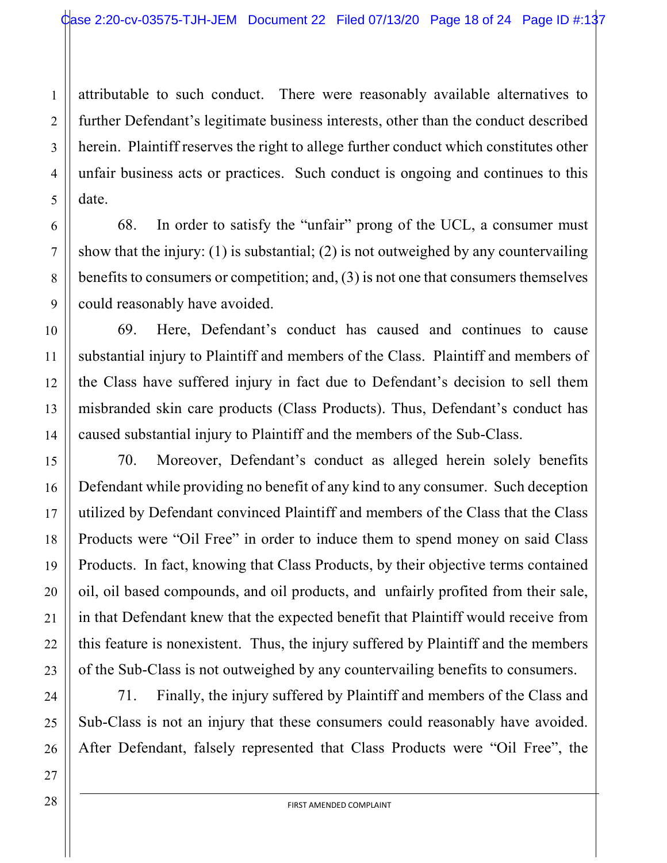attributable to such conduct. There were reasonably available alternatives to further Defendant's legitimate business interests, other than the conduct described herein. Plaintiff reserves the right to allege further conduct which constitutes other unfair business acts or practices. Such conduct is ongoing and continues to this date.

68. In order to satisfy the "unfair" prong of the UCL, a consumer must show that the injury: (1) is substantial; (2) is not outweighed by any countervailing benefits to consumers or competition; and, (3) is not one that consumers themselves could reasonably have avoided.

69. Here, Defendant's conduct has caused and continues to cause substantial injury to Plaintiff and members of the Class. Plaintiff and members of the Class have suffered injury in fact due to Defendant's decision to sell them misbranded skin care products (Class Products). Thus, Defendant's conduct has caused substantial injury to Plaintiff and the members of the Sub-Class.

70. Moreover, Defendant's conduct as alleged herein solely benefits Defendant while providing no benefit of any kind to any consumer. Such deception utilized by Defendant convinced Plaintiff and members of the Class that the Class Products were "Oil Free" in order to induce them to spend money on said Class Products. In fact, knowing that Class Products, by their objective terms contained oil, oil based compounds, and oil products, and unfairly profited from their sale, in that Defendant knew that the expected benefit that Plaintiff would receive from this feature is nonexistent. Thus, the injury suffered by Plaintiff and the members of the Sub-Class is not outweighed by any countervailing benefits to consumers.

71. Finally, the injury suffered by Plaintiff and members of the Class and Sub-Class is not an injury that these consumers could reasonably have avoided. After Defendant, falsely represented that Class Products were "Oil Free", the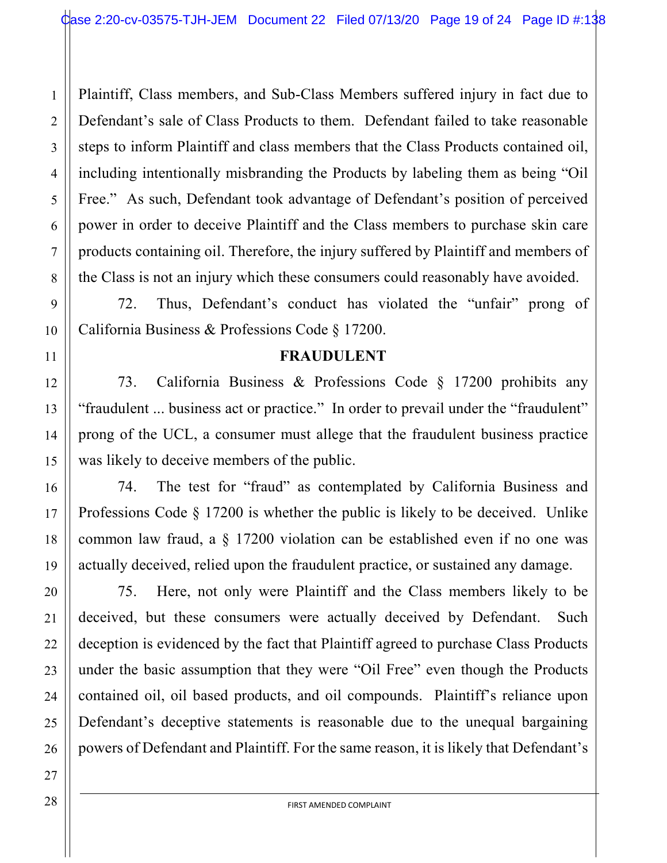Plaintiff, Class members, and Sub-Class Members suffered injury in fact due to Defendant's sale of Class Products to them. Defendant failed to take reasonable steps to inform Plaintiff and class members that the Class Products contained oil, including intentionally misbranding the Products by labeling them as being "Oil Free." As such, Defendant took advantage of Defendant's position of perceived power in order to deceive Plaintiff and the Class members to purchase skin care products containing oil. Therefore, the injury suffered by Plaintiff and members of the Class is not an injury which these consumers could reasonably have avoided.

72. Thus, Defendant's conduct has violated the "unfair" prong of California Business & Professions Code § 17200.

#### **FRAUDULENT**

73. California Business & Professions Code § 17200 prohibits any "fraudulent ... business act or practice." In order to prevail under the "fraudulent" prong of the UCL, a consumer must allege that the fraudulent business practice was likely to deceive members of the public.

74. The test for "fraud" as contemplated by California Business and Professions Code § 17200 is whether the public is likely to be deceived. Unlike common law fraud, a § 17200 violation can be established even if no one was actually deceived, relied upon the fraudulent practice, or sustained any damage.

75. Here, not only were Plaintiff and the Class members likely to be deceived, but these consumers were actually deceived by Defendant. Such deception is evidenced by the fact that Plaintiff agreed to purchase Class Products under the basic assumption that they were "Oil Free" even though the Products contained oil, oil based products, and oil compounds. Plaintiff's reliance upon Defendant's deceptive statements is reasonable due to the unequal bargaining powers of Defendant and Plaintiff. For the same reason, it is likely that Defendant's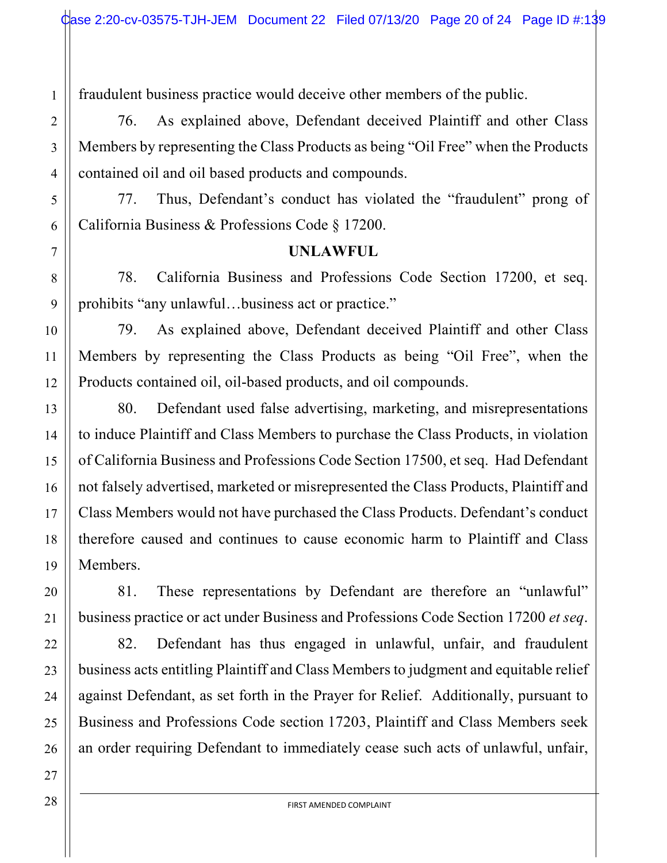fraudulent business practice would deceive other members of the public.

76. As explained above, Defendant deceived Plaintiff and other Class Members by representing the Class Products as being "Oil Free" when the Products contained oil and oil based products and compounds.

77. Thus, Defendant's conduct has violated the "fraudulent" prong of California Business & Professions Code § 17200.

#### **UNLAWFUL**

78. California Business and Professions Code Section 17200, et seq. prohibits "any unlawful…business act or practice."

79. As explained above, Defendant deceived Plaintiff and other Class Members by representing the Class Products as being "Oil Free", when the Products contained oil, oil-based products, and oil compounds.

80. Defendant used false advertising, marketing, and misrepresentations to induce Plaintiff and Class Members to purchase the Class Products, in violation of California Business and Professions Code Section 17500, et seq. Had Defendant not falsely advertised, marketed or misrepresented the Class Products, Plaintiff and Class Members would not have purchased the Class Products. Defendant's conduct therefore caused and continues to cause economic harm to Plaintiff and Class Members.

81. These representations by Defendant are therefore an "unlawful" business practice or act under Business and Professions Code Section 17200 *et seq*.

82. Defendant has thus engaged in unlawful, unfair, and fraudulent business acts entitling Plaintiff and Class Members to judgment and equitable relief against Defendant, as set forth in the Prayer for Relief. Additionally, pursuant to Business and Professions Code section 17203, Plaintiff and Class Members seek an order requiring Defendant to immediately cease such acts of unlawful, unfair,

1

2

3

4

5

6

7

8

9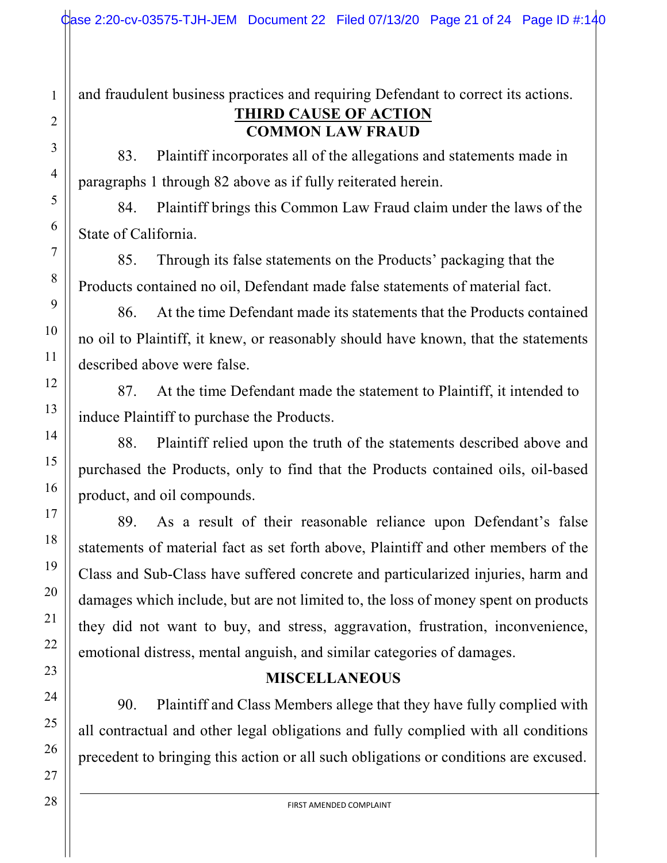and fraudulent business practices and requiring Defendant to correct its actions. **THIRD CAUSE OF ACTION COMMON LAW FRAUD**

83. Plaintiff incorporates all of the allegations and statements made in paragraphs 1 through 82 above as if fully reiterated herein.

84. Plaintiff brings this Common Law Fraud claim under the laws of the State of California.

85. Through its false statements on the Products' packaging that the Products contained no oil, Defendant made false statements of material fact.

86. At the time Defendant made its statements that the Products contained no oil to Plaintiff, it knew, or reasonably should have known, that the statements described above were false.

87. At the time Defendant made the statement to Plaintiff, it intended to induce Plaintiff to purchase the Products.

88. Plaintiff relied upon the truth of the statements described above and purchased the Products, only to find that the Products contained oils, oil-based product, and oil compounds.

89. As a result of their reasonable reliance upon Defendant's false statements of material fact as set forth above, Plaintiff and other members of the Class and Sub-Class have suffered concrete and particularized injuries, harm and damages which include, but are not limited to, the loss of money spent on products they did not want to buy, and stress, aggravation, frustration, inconvenience, emotional distress, mental anguish, and similar categories of damages.

### **MISCELLANEOUS**

90. Plaintiff and Class Members allege that they have fully complied with all contractual and other legal obligations and fully complied with all conditions precedent to bringing this action or all such obligations or conditions are excused.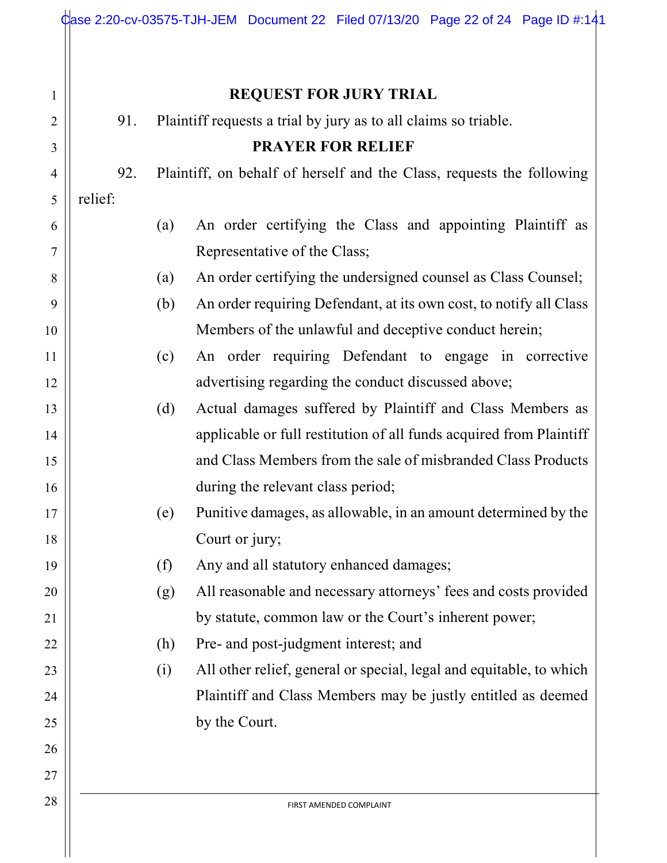|                |                                                                        | Case 2:20-cv-03575-TJH-JEM Document 22 Filed 07/13/20 Page 22 of 24 Page ID #:141 |  |
|----------------|------------------------------------------------------------------------|-----------------------------------------------------------------------------------|--|
|                |                                                                        |                                                                                   |  |
| $\mathbf{1}$   |                                                                        | <b>REQUEST FOR JURY TRIAL</b>                                                     |  |
| $\overline{2}$ | Plaintiff requests a trial by jury as to all claims so triable.<br>91. |                                                                                   |  |
| 3              | <b>PRAYER FOR RELIEF</b>                                               |                                                                                   |  |
| $\overline{4}$ | 92.                                                                    | Plaintiff, on behalf of herself and the Class, requests the following             |  |
| 5              | relief:                                                                |                                                                                   |  |
| 6              |                                                                        | An order certifying the Class and appointing Plaintiff as<br>(a)                  |  |
| 7              |                                                                        | Representative of the Class;                                                      |  |
| 8              |                                                                        | An order certifying the undersigned counsel as Class Counsel;<br>(a)              |  |
| 9              |                                                                        | An order requiring Defendant, at its own cost, to notify all Class<br>(b)         |  |
| 10             |                                                                        | Members of the unlawful and deceptive conduct herein;                             |  |
| 11             |                                                                        | An order requiring Defendant to engage in corrective<br>(c)                       |  |
| 12             |                                                                        | advertising regarding the conduct discussed above;                                |  |
| 13             |                                                                        | Actual damages suffered by Plaintiff and Class Members as<br>(d)                  |  |
| 14             |                                                                        | applicable or full restitution of all funds acquired from Plaintiff               |  |
| 15             |                                                                        | and Class Members from the sale of misbranded Class Products                      |  |
| 16             |                                                                        | during the relevant class period;                                                 |  |
| 17             |                                                                        | Punitive damages, as allowable, in an amount determined by the<br>(e)             |  |
| 18             |                                                                        | Court or jury;                                                                    |  |
| 19             |                                                                        | (f)<br>Any and all statutory enhanced damages;                                    |  |
| 20             |                                                                        | All reasonable and necessary attorneys' fees and costs provided<br>(g)            |  |
| 21             |                                                                        | by statute, common law or the Court's inherent power;                             |  |
| 22             |                                                                        | Pre- and post-judgment interest; and<br>(h)                                       |  |
| 23             |                                                                        | All other relief, general or special, legal and equitable, to which<br>(i)        |  |
| 24             |                                                                        | Plaintiff and Class Members may be justly entitled as deemed                      |  |
| 25             |                                                                        | by the Court.                                                                     |  |
| 26             |                                                                        |                                                                                   |  |
| 27             |                                                                        |                                                                                   |  |
| 28             |                                                                        | FIRST AMENDED COMPLAINT                                                           |  |

 $\mathbb{I}$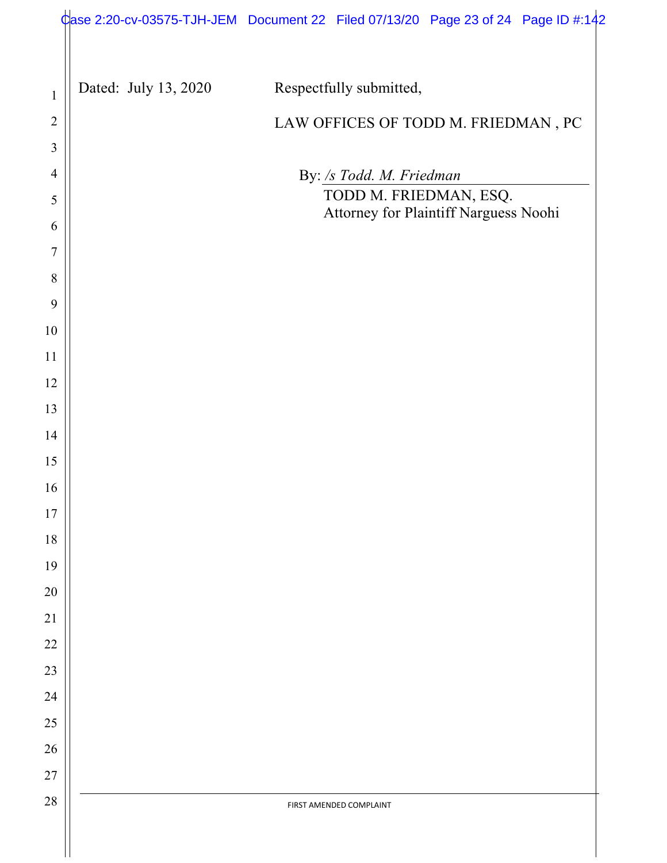|                | Case 2:20-cv-03575-TJH-JEM Document 22 Filed 07/13/20 Page 23 of 24 Page ID #:142 |                          |                                       |  |
|----------------|-----------------------------------------------------------------------------------|--------------------------|---------------------------------------|--|
|                |                                                                                   |                          |                                       |  |
| $\mathbf{1}$   | Dated: July 13, 2020                                                              | Respectfully submitted,  |                                       |  |
| $\overline{2}$ |                                                                                   |                          | LAW OFFICES OF TODD M. FRIEDMAN, PC   |  |
| 3              |                                                                                   |                          |                                       |  |
| $\overline{4}$ |                                                                                   | By: /s Todd. M. Friedman |                                       |  |
| 5              |                                                                                   |                          | TODD M. FRIEDMAN, ESQ.                |  |
| 6              |                                                                                   |                          | Attorney for Plaintiff Narguess Noohi |  |
| 7              |                                                                                   |                          |                                       |  |
| 8              |                                                                                   |                          |                                       |  |
| 9              |                                                                                   |                          |                                       |  |
| 10             |                                                                                   |                          |                                       |  |
| 11             |                                                                                   |                          |                                       |  |
| 12             |                                                                                   |                          |                                       |  |
| 13             |                                                                                   |                          |                                       |  |
| 14             |                                                                                   |                          |                                       |  |
| 15             |                                                                                   |                          |                                       |  |
| 16             |                                                                                   |                          |                                       |  |
| 17             |                                                                                   |                          |                                       |  |
| 18             |                                                                                   |                          |                                       |  |
| 19             |                                                                                   |                          |                                       |  |
| $20\,$         |                                                                                   |                          |                                       |  |
| $21\,$         |                                                                                   |                          |                                       |  |
| $22\,$         |                                                                                   |                          |                                       |  |
| 23<br>24       |                                                                                   |                          |                                       |  |
| $25\,$         |                                                                                   |                          |                                       |  |
| $26\,$         |                                                                                   |                          |                                       |  |
| $27\,$         |                                                                                   |                          |                                       |  |
| 28             |                                                                                   | FIRST AMENDED COMPLAINT  |                                       |  |
|                |                                                                                   |                          |                                       |  |
|                |                                                                                   |                          |                                       |  |